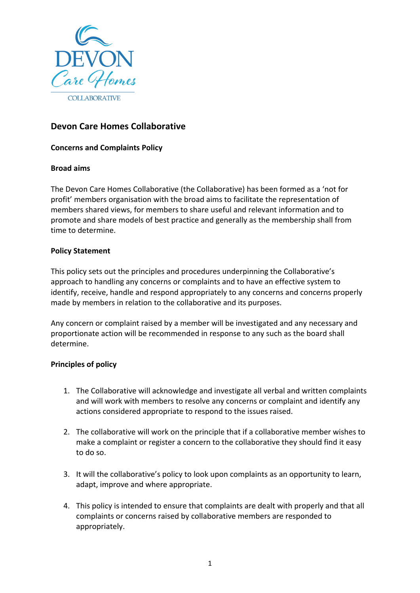

# **Devon Care Homes Collaborative**

## **Concerns and Complaints Policy**

### **Broad aims**

The Devon Care Homes Collaborative (the Collaborative) has been formed as a 'not for profit' members organisation with the broad aims to facilitate the representation of members shared views, for members to share useful and relevant information and to promote and share models of best practice and generally as the membership shall from time to determine.

### **Policy Statement**

This policy sets out the principles and procedures underpinning the Collaborative's approach to handling any concerns or complaints and to have an effective system to identify, receive, handle and respond appropriately to any concerns and concerns properly made by members in relation to the collaborative and its purposes.

Any concern or complaint raised by a member will be investigated and any necessary and proportionate action will be recommended in response to any such as the board shall determine.

## **Principles of policy**

- 1. The Collaborative will acknowledge and investigate all verbal and written complaints and will work with members to resolve any concerns or complaint and identify any actions considered appropriate to respond to the issues raised.
- 2. The collaborative will work on the principle that if a collaborative member wishes to make a complaint or register a concern to the collaborative they should find it easy to do so.
- 3. It will the collaborative's policy to look upon complaints as an opportunity to learn, adapt, improve and where appropriate.
- 4. This policy is intended to ensure that complaints are dealt with properly and that all complaints or concerns raised by collaborative members are responded to appropriately.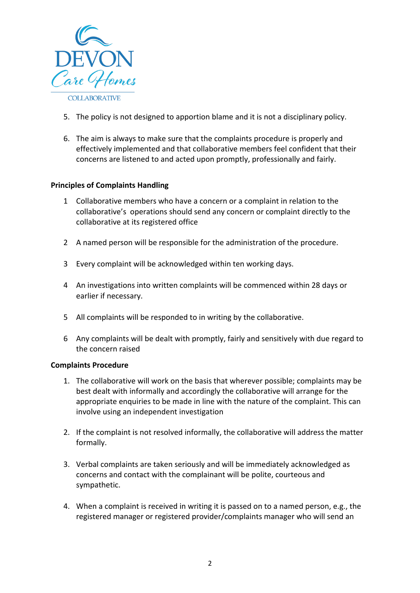

- 5. The policy is not designed to apportion blame and it is not a disciplinary policy.
- 6. The aim is always to make sure that the complaints procedure is properly and effectively implemented and that collaborative members feel confident that their concerns are listened to and acted upon promptly, professionally and fairly.

### **Principles of Complaints Handling**

- 1 Collaborative members who have a concern or a complaint in relation to the collaborative's operations should send any concern or complaint directly to the collaborative at its registered office
- 2 A named person will be responsible for the administration of the procedure.
- 3 Every complaint will be acknowledged within ten working days.
- 4 An investigations into written complaints will be commenced within 28 days or earlier if necessary.
- 5 All complaints will be responded to in writing by the collaborative.
- 6 Any complaints will be dealt with promptly, fairly and sensitively with due regard to the concern raised

#### **Complaints Procedure**

- 1. The collaborative will work on the basis that wherever possible; complaints may be best dealt with informally and accordingly the collaborative will arrange for the appropriate enquiries to be made in line with the nature of the complaint. This can involve using an independent investigation
- 2. If the complaint is not resolved informally, the collaborative will address the matter formally.
- 3. Verbal complaints are taken seriously and will be immediately acknowledged as concerns and contact with the complainant will be polite, courteous and sympathetic.
- 4. When a complaint is received in writing it is passed on to a named person, e.g., the registered manager or registered provider/complaints manager who will send an